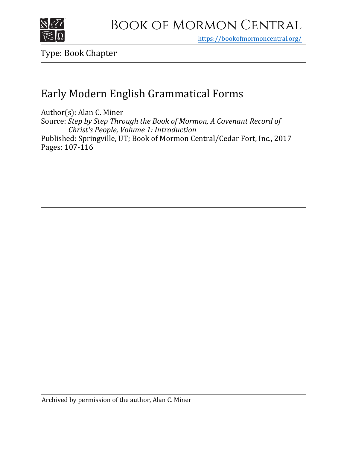

https[://bookofmormoncentral.org/](https://bookofmormoncentral.org/)

Type: Book Chapter

# Early Modern English Grammatical Forms

Author(s): Alan C. Miner Source: *Step by Step Through the Book of Mormon, A Covenant Record of Christ's People, Volume 1: Introduction* Published: Springville, UT; Book of Mormon Central/Cedar Fort, Inc., 2017 Pages: 107-116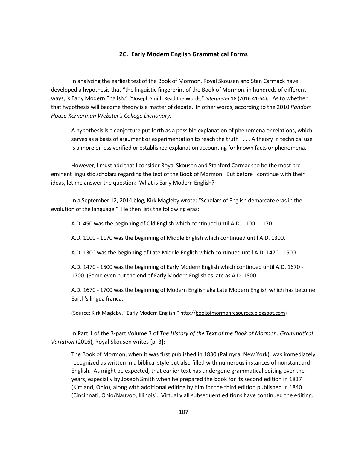# **2C. Early Modern English Grammatical Forms**

In analyzing the earliest test of the Book of Mormon, Royal Skousen and Stan Carmack have developed a hypothesis that "the linguistic fingerprint of the Book of Mormon, in hundreds of different ways, is Early Modern English." ("Joseph Smith Read the Words," *Interpreter* 18 (2016:41-64). As to whether that hypothesis will become theory is a matter of debate. In other words, according to the 2010 *Random House Kernerman Webster's College Dictionary:*

A hypothesis is a conjecture put forth as a possible explanation of phenomena or relations, which serves as a basis of argument or experimentation to reach the truth . . . . A theory in technical use is a more or less verified or established explanation accounting for known facts or phenomena.

However, I must add that I consider Royal Skousen and Stanford Carmack to be the most preeminent linguistic scholars regarding the text of the Book of Mormon. But before I continue with their ideas, let me answer the question: What is Early Modern English?

In a September 12, 2014 blog, Kirk Magleby wrote: "Scholars of English demarcate eras in the evolution of the language." He then lists the following eras:

A.D. 450 was the beginning of Old English which continued until A.D. 1100 - 1170.

A.D. 1100 - 1170 was the beginning of Middle English which continued until A.D. 1300.

A.D. 1300 was the beginning of Late Middle English which continued until A.D. 1470 - 1500.

A.D. 1470 - 1500 was the beginning of Early Modern English which continued until A.D. 1670 - 1700. (Some even put the end of Early Modern English as late as A.D. 1800.

A.D. 1670 - 1700 was the beginning of Modern English aka Late Modern English which has become Earth's lingua franca.

(Source: Kirk Magleby, "Early Modern English," [http://bookofmormonresources.blogspot.com\)](http://bookofmormonresources.blogspot.com/)

In Part 1 of the 3-part Volume 3 of *The History of the Text of the Book of Mormon: Grammatical Variation* (2016), Royal Skousen writes [p. 3]:

The Book of Mormon, when it was first published in 1830 (Palmyra, New York), was immediately recognized as written in a biblical style but also filled with numerous instances of nonstandard English. As might be expected, that earlier text has undergone grammatical editing over the years, especially by Joseph Smith when he prepared the book for its second edition in 1837 (Kirtland, Ohio), along with additional editing by him for the third edition published in 1840 (Cincinnati, Ohio/Nauvoo, Illinois). Virtually all subsequent editions have continued the editing.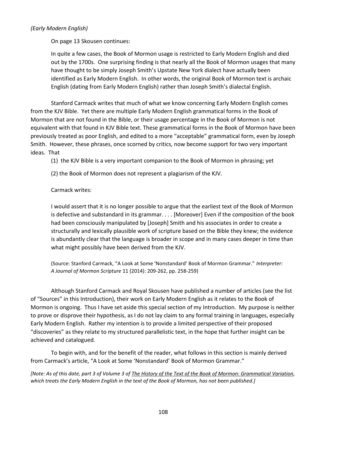# *(Early Modern English)*

On page 13 Skousen continues:

In quite a few cases, the Book of Mormon usage is restricted to Early Modern English and died out by the 1700s. One surprising finding is that nearly all the Book of Mormon usages that many have thought to be simply Joseph Smith's Upstate New York dialect have actually been identified as Early Modern English. In other words, the original Book of Mormon text is archaic English (dating from Early Modern English) rather than Joseph Smith's dialectal English.

Stanford Carmack writes that much of what we know concerning Early Modern English comes from the KJV Bible. Yet there are multiple Early Modern English grammatical forms in the Book of Mormon that are not found in the Bible, or their usage percentage in the Book of Mormon is not equivalent with that found in KJV Bible text. These grammatical forms in the Book of Mormon have been previously treated as poor English, and edited to a more "acceptable" grammatical form, even by Joseph Smith. However, these phrases, once scorned by critics, now become support for two very important ideas. That

(1) the KJV Bible is a very important companion to the Book of Mormon in phrasing; yet

(2) the Book of Mormon does not represent a plagiarism of the KJV.

Carmack writes:

I would assert that it is no longer possible to argue that the earliest text of the Book of Mormon is defective and substandard in its grammar. . . . [Moreover] Even if the composition of the book had been consciously manipulated by [Joseph] Smith and his associates in order to create a structurally and lexically plausible work of scripture based on the Bible they knew; the evidence is abundantly clear that the language is broader in scope and in many cases deeper in time than what might possibly have been derived from the KJV.

(Source: Stanford Carmack, "A Look at Some 'Nonstandard' Book of Mormon Grammar." *Interpreter: A Journal of Mormon Scripture* 11 (2014): 209-262, pp. 258-259)

Although Stanford Carmack and Royal Skousen have published a number of articles (see the list of "Sources" in this Introduction), their work on Early Modern English as it relates to the Book of Mormon is ongoing. Thus I have set aside this special section of my Introduction. My purpose is neither to prove or disprove their hypothesis, as I do not lay claim to any formal training in languages, especially Early Modern English. Rather my intention is to provide a limited perspective of their proposed "discoveries" as they relate to my structured parallelistic text, in the hope that further insight can be achieved and catalogued.

To begin with, and for the benefit of the reader, what follows in this section is mainly derived from Carmack's article, "A Look at Some 'Nonstandard' Book of Mormon Grammar."

*[Note: As of this date, part 3 of Volume 3 of The History of the Text of the Book of Mormon: Grammatical Variation, which treats the Early Modern English in the text of the Book of Mormon, has not been published.]*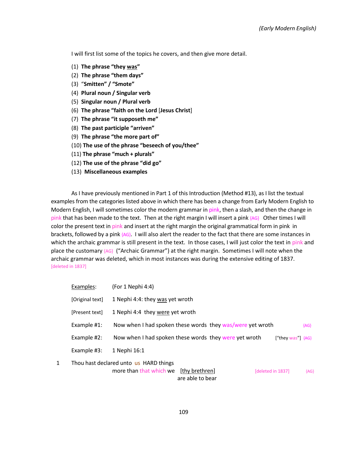I will first list some of the topics he covers, and then give more detail.

- (1) **The phrase "they was"**
- (2) **The phrase "them days"**
- (3) "**Smitten" / "Smote"**
- (4) **Plural noun / Singular verb**
- (5) **Singular noun / Plural verb**
- (6) **The phrase "faith on the Lord** [**Jesus Christ**]
- (7) **The phrase "it supposeth me"**
- (8) **The past participle "arriven"**
- (9) **The phrase "the more part of"**
- (10) **The use of the phrase "beseech of you/thee"**
- (11) **The phrase "much + plurals"**
- (12) **The use of the phrase "did go"**
- (13) **Miscellaneous examples**

As I have previously mentioned in Part 1 of this Introduction (Method #13), as I list the textual examples from the categories listed above in which there has been a change from Early Modern English to Modern English, I will sometimes color the modern grammar in pink, then a slash, and then the change in pink that has been made to the text. Then at the right margin I will insert a pink {AG} Other times I will color the present text in pink and insert at the right margin the original grammatical form in pink in brackets, followed by a pink {AG}. I will also alert the reader to the fact that there are some instances in which the archaic grammar is still present in the text. In those cases, I will just color the text in pink and place the customary {AG} ("Archaic Grammar") at the right margin. Sometimes I will note when the archaic grammar was deleted, which in most instances was during the extensive editing of 1837. [deleted in 1837]

|   | Examples:       | (For 1 Nephi 4:4)                                         |                   |        |
|---|-----------------|-----------------------------------------------------------|-------------------|--------|
|   | [Original text] | 1 Nephi 4:4: they was yet wroth                           |                   |        |
|   | [Present text]  | 1 Nephi 4:4 they were yet wroth                           |                   |        |
|   | Example #1:     | Now when I had spoken these words they was/were yet wroth |                   | ${AG}$ |
|   | Example #2:     | Now when I had spoken these words they were yet wroth     | ["they was"] {AG} |        |
|   | Example #3:     | 1 Nephi 16:1                                              |                   |        |
| 1 |                 | Thou hast declared unto us HARD things                    |                   |        |
|   |                 | more than that which we<br>[thy brethren]                 | [deleted in 1837] | ${AG}$ |
|   |                 | are able to bear                                          |                   |        |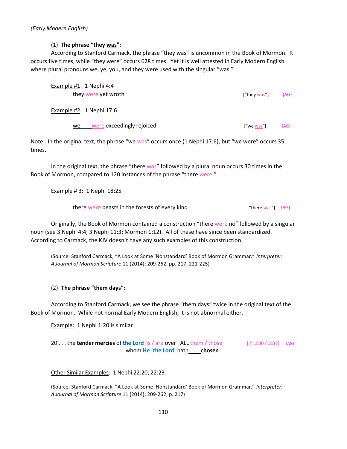(1) **The phrase "they was":**

According to Stanford Carmack, the phrase "they was" is uncommon in the Book of Mormon. It occurs five times, while "they were" occurs 628 times. Yet it is well attested in Early Modern English where plural pronouns we, ye, you, and they were used with the singular "was."

| Example #1: 1 Nephi 4:4<br>they were yet wroth | ["they was"] | ${AG}$ |
|------------------------------------------------|--------------|--------|
| Example #2: 1 Nephi 17:6                       |              |        |
| were exceedingly rejoiced<br>we                | ["we was"]   | ${AG}$ |

Note: In the original text, the phrase "we was" occurs once (1 Nephi 17:6), but "we were" occurs 35 times.

In the original text, the phrase "there was" followed by a plural noun occurs 30 times in the Book of Mormon, compared to 120 instances of the phrase "there were."

Example # 3: 1 Nephi 18:25

there were beasts in the forests of every kind ["there was"] {AG}

Originally, the Book of Mormon contained a construction "there were no" followed by a singular noun (see 3 Nephi 4:4; 3 Nephi 11:3; Mormon 1:12). All of these have since been standardized. According to Carmack, the KJV doesn't have any such examples of this construction.

(Source: Stanford Carmack, "A Look at Some 'Nonstandard' Book of Mormon Grammar." *Interpreter: A Journal of Mormon Scripture* 11 (2014): 209-262, pp. 217, 221-225)

# (2) **The phrase "them days"**:

According to Stanford Carmack, we see the phrase "them days" twice in the original text of the Book of Mormon. While not normal Early Modern English, it is not abnormal either.

Example: 1 Nephi 1:20 is similar

20 . . . the **tender mercies** of **the Lord** is / are over ALL them / those [*P*, 1830 / 1837] {AG} whom **He** [**the Lord**] hath **chosen**

Other Similar Examples: 1 Nephi 22:20; 22:23

(Source: Stanford Carmack, "A Look at Some 'Nonstandard' Book of Mormon Grammar." *Interpreter: A Journal of Mormon Scripture* 11 (2014): 209-262, p. 217)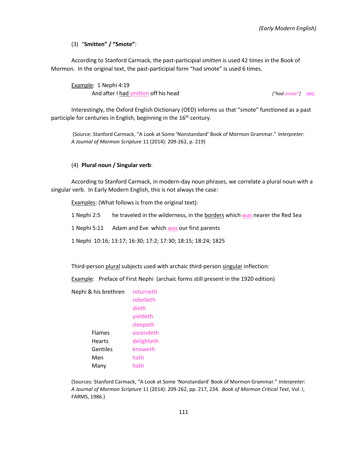(3) "**Smitten" / "Smote"**:

According to Stanford Carmack, the past-participial *smitten* is used 42 times in the Book of Mormon. In the original text, the past-participial form "had smote" is used 6 times.

Example: 1 Nephi 4:19 And after I had smitten off his head *["had smote"]* {AG}

Interestingly, the Oxford English Dictionary (OED) informs us that "smote" functioned as a past participle for centuries in English, beginning in the  $16<sup>th</sup>$  century.

(Source: Stanford Carmack, "A Look at Some 'Nonstandard' Book of Mormon Grammar." *Interpreter: A Journal of Mormon Scripture* 11 (2014): 209-262, p. 219)

## (4) **Plural noun / Singular verb**:

According to Stanford Carmack, in modern-day noun phrases, we correlate a plural noun with a singular verb. In Early Modern English, this is not always the case:

Examples: (What follows is from the original text):

1 Nephi 2:5 he traveled in the wilderness, in the borders which was nearer the Red Sea

1 Nephi 5:11 Adam and Eve which was our first parents

1 Nephi 10:16; 13:17; 16:30; 17:2; 17:30; 18:15; 18:24; 1825

Third-person plural subjects used with archaic third-person singular inflection:

Example: Preface of First Nephi (archaic forms still present in the 1920 edition)

| Nephi & his brethren | returneth  |
|----------------------|------------|
|                      | rebelleth  |
|                      | dieth      |
|                      | yieldeth   |
|                      | sleepeth   |
| <b>Flames</b>        | ascendeth  |
| Hearts               | delighteth |
| Gentiles             | knoweth    |
| Men                  | hath       |
| Many                 | hath       |
|                      |            |

(Sources: Stanford Carmack, "A Look at Some 'Nonstandard' Book of Mormon Grammar." *Interpreter: A Journal of Mormon Scripture* 11 (2014): 209-262, pp. 217, 234. *Book of Mormon Critical Text*, Vol. I, FARMS, 1986.)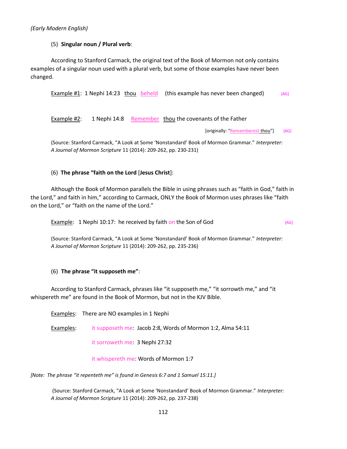*(Early Modern English)*

## (5) **Singular noun / Plural verb**:

According to Stanford Carmack, the original text of the Book of Mormon not only contains examples of a singular noun used with a plural verb, but some of those examples have never been changed.

Example #1: 1 Nephi 14:23 thou beheld (this example has never been changed)  ${A}G$ 

Example #2: 1 Nephi 14:8 Remember thou the covenants of the Father

[originally: "Rememberest thou"] {AG}

(Source: Stanford Carmack, "A Look at Some 'Nonstandard' Book of Mormon Grammar." *Interpreter: A Journal of Mormon Scripture* 11 (2014): 209-262, pp. 230-231)

## (6) **The phrase "faith on the Lord** [**Jesus Christ**]:

Although the Book of Mormon parallels the Bible in using phrases such as "faith in God," faith in the Lord," and faith in him," according to Carmack, ONLY the Book of Mormon uses phrases like "faith on the Lord," or "faith on the name of the Lord."

**Example:** 1 Nephi 10:17: he received by faith on the Son of God  $[AG]$ 

(Source: Stanford Carmack, "A Look at Some 'Nonstandard' Book of Mormon Grammar." *Interpreter: A Journal of Mormon Scripture* 11 (2014): 209-262, pp. 235-236)

# (6) **The phrase "it supposeth me"**:

According to Stanford Carmack, phrases like "it supposeth me," "it sorrowth me," and "it whispereth me" are found in the Book of Mormon, but not in the KJV Bible.

Examples: There are NO examples in 1 Nephi Examples: it supposeth me: Jacob 2:8, Words of Mormon 1:2, Alma 54:11 it sorroweth me: 3 Nephi 27:32

it whispereth me: Words of Mormon 1:7

*[Note: The phrase "it repenteth me" is found in Genesis 6:7 and 1 Samuel 15:11.]* 

(Source: Stanford Carmack, "A Look at Some 'Nonstandard' Book of Mormon Grammar." *Interpreter: A Journal of Mormon Scripture* 11 (2014): 209-262, pp. 237-238)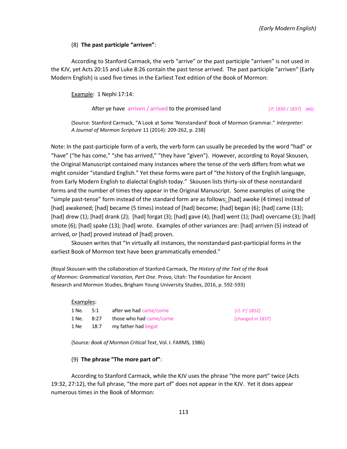## (8) **The past participle "arriven"**:

According to Stanford Carmack, the verb "arrive" or the past participle "arriven" is not used in the KJV, yet Acts 20:15 and Luke 8:26 contain the past tense arrived. The past participle "arriven" (Early Modern English) is used five times in the Earliest Text edition of the Book of Mormon:

Example: 1 Nephi 17:14:

#### After ye have  $\arriven / arrived$  to the promised land  $[P, 1830 / 1837]$  {AG}

(Source: Stanford Carmack, "A Look at Some 'Nonstandard' Book of Mormon Grammar." *Interpreter: A Journal of Mormon Scripture* 11 (2014): 209-262, p. 238)

Note: In the past-participle form of a verb, the verb form can usually be preceded by the word "had" or "have" ("he has come," "she has arrived," "they have "given"). However, according to Royal Skousen, the Original Manuscript contained many instances where the tense of the verb differs from what we might consider "standard English." Yet these forms were part of "the history of the English language, from Early Modern English to dialectal English today." Skousen lists thirty-six of these nonstandard forms and the number of times they appear in the Original Manuscript. Some examples of using the "simple past-tense" form instead of the standard form are as follows: [had] awoke (4 times) instead of [had] awakened; [had] became (5 times) instead of [had] become; [had] began (6); [had] came (13); [had] drew (1); [had] drank (2); [had] forgat (3); [had] gave (4); [had] went (1); [had] overcame (3); [had] smote (6); [had] spake (13); [had] wrote. Examples of other variances are: [had] arriven (5) instead of arrived, or [had] proved instead of [had] proven.

Skousen writes that "In virtually all instances, the nonstandard past-participial forms in the earliest Book of Mormon text have been grammatically emended."

(Royal Skousen with the collaboration of Stanford Carmack, *The History of the Text of the Book of Mormon: Grammatical Variation, Part One*. Provo, Utah: The Foundation for Ancient Research and Mormon Studies, Brigham Young University Studies, 2016, p. 592-593)

#### Examples:

| 1 Ne. | 5:1  | after we had came/come  |
|-------|------|-------------------------|
| 1 Ne. | 8:27 | those who had came/come |
| 1 Ne  | 18:7 | my father had begat     |

 $[O, P/ 1852]$ [ $changed$  in 1837]

(Source: *Book of Mormon Critical Text*, Vol. I. FARMS, 1986)

## (9) **The phrase "The more part of"**:

According to Stanford Carmack, while the KJV uses the phrase "the more part" twice (Acts 19:32, 27:12), the full phrase, "the more part of" does not appear in the KJV. Yet it does appear numerous times in the Book of Mormon: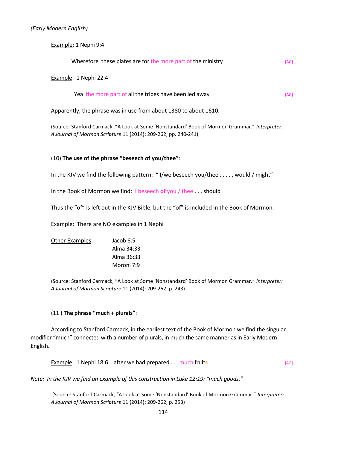Example: 1 Nephi 9:4

| Wherefore these plates are for the more part of the ministry |  |  |
|--------------------------------------------------------------|--|--|
| Example: 1 Nephi 22:4                                        |  |  |

| Yea the more part of all the tribes have been led away |  |
|--------------------------------------------------------|--|
|--------------------------------------------------------|--|

Apparently, the phrase was in use from about 1380 to about 1610.

(Source: Stanford Carmack, "A Look at Some 'Nonstandard' Book of Mormon Grammar." *Interpreter: A Journal of Mormon Scripture* 11 (2014): 209-262, pp. 240-241)

## (10) **The use of the phrase "beseech of you/thee"**:

In the KJV we find the following pattern: " I/we beseech you/thee . . . . . would / might"

In the Book of Mormon we find: I beseech **of** you / thee . . . should

Thus the "of" is left out in the KJV Bible, but the "of" is included in the Book of Mormon.

**Example:** There are NO examples in 1 Nephi

| Jacob 6:5  |
|------------|
| Alma 34:33 |
| Alma 36:33 |
| Moroni 7:9 |
|            |

(Source: Stanford Carmack, "A Look at Some 'Nonstandard' Book of Mormon Grammar." *Interpreter: A Journal of Mormon Scripture* 11 (2014): 209-262, p. 243)

#### (11 ) **The phrase "much + plurals"**:

According to Stanford Carmack, in the earliest text of the Book of Mormon we find the singular modifier "much" connected with a number of plurals, in much the same manner as in Early Modern English.

**Example: 1 Nephi 18:6: after we had prepared . . . much fruits Example: 1 Nephi 18:6:**  $[AG]$ 

*Note: In the KJV we find an example of this construction in Luke 12:19: "much goods."*

(Source: Stanford Carmack, "A Look at Some 'Nonstandard' Book of Mormon Grammar." *Interpreter: A Journal of Mormon Scripture* 11 (2014): 209-262, p. 253)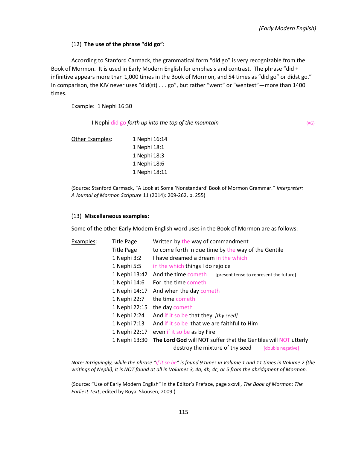# (12) **The use of the phrase "did go":**

According to Stanford Carmack, the grammatical form "did go" is very recognizable from the Book of Mormon. It is used in Early Modern English for emphasis and contrast. The phrase "did + infinitive appears more than 1,000 times in the Book of Mormon, and 54 times as "did go" or didst go." In comparison, the KJV never uses "did(st) . . . go", but rather "went" or "wentest" —more than 1400 times.

Example: 1 Nephi 16:30

I Nephi did go *forth up into the top of the mountain* {AG}

Other Examples: 1 Nephi 16:14 1 Nephi 18:1 1 Nephi 18:3 1 Nephi 18:6 1 Nephi 18:11

(Source: Stanford Carmack, "A Look at Some 'Nonstandard' Book of Mormon Grammar." *Interpreter: A Journal of Mormon Scripture* 11 (2014): 209-262, p. 255)

## (13) **Miscellaneous examples:**

Some of the other Early Modern English word uses in the Book of Mormon are as follows:

| Examples: | <b>Title Page</b> | Written by the way of commandment                                                                                       |
|-----------|-------------------|-------------------------------------------------------------------------------------------------------------------------|
|           | <b>Title Page</b> | to come forth in due time by the way of the Gentile                                                                     |
|           | 1 Nephi 3:2       | I have dreamed a dream in the which                                                                                     |
|           | 1 Nephi 5:5       | in the which things I do rejoice                                                                                        |
|           | 1 Nephi 13:42     | And the time cometh<br>[present tense to represent the future]                                                          |
|           | 1 Nephi 14:6      | For the time cometh                                                                                                     |
|           | 1 Nephi 14:17     | And when the day cometh                                                                                                 |
|           | 1 Nephi 22:7      | the time cometh                                                                                                         |
|           | 1 Nephi 22:15     | the day cometh                                                                                                          |
|           | 1 Nephi 2:24      | And if it so be that they [thy seed]                                                                                    |
|           | 1 Nephi 7:13      | And if it so be that we are faithful to Him                                                                             |
|           | 1 Nephi 22:17     | even if it so be as by Fire                                                                                             |
|           | 1 Nephi 13:30     | The Lord God will NOT suffer that the Gentiles will NOT utterly<br>destroy the mixture of thy seed<br>[double negative] |
|           |                   |                                                                                                                         |

*Note: Intriguingly, while the phrase "if it so be" is found 9 times in Volume 1 and 11 times in Volume 2 (the writings of Nephi), it is NOT found at all in Volumes 3, 4a, 4b, 4c, or 5 from the abridgment of Mormon.* 

(Source: "Use of Early Modern English" in the Editor's Preface, page xxxvii, *The Book of Mormon: The Earliest Text*, edited by Royal Skousen, 2009.)